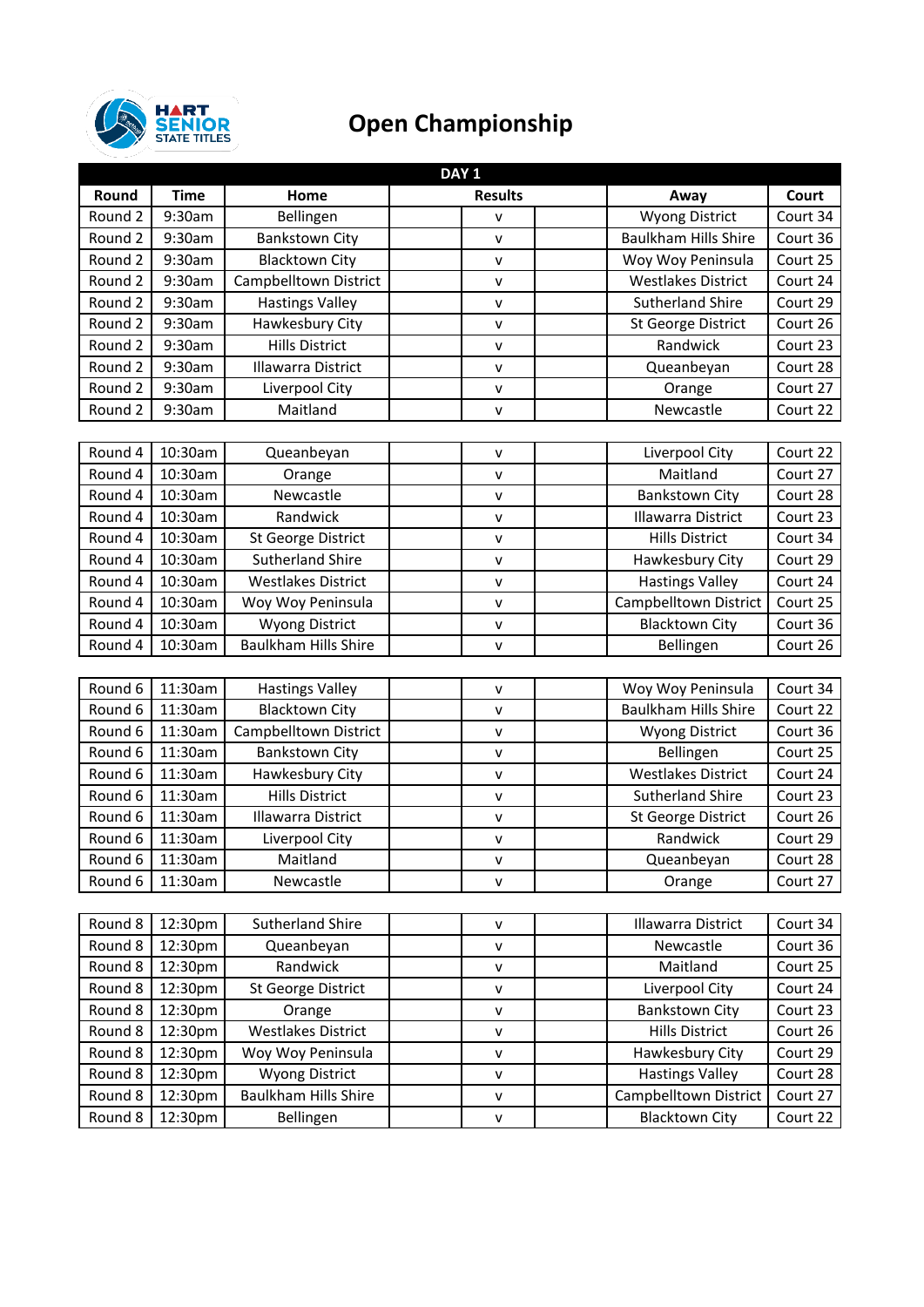

## **Open Championship**

| DAY <sub>1</sub> |             |                             |                |                             |          |  |  |
|------------------|-------------|-----------------------------|----------------|-----------------------------|----------|--|--|
| Round            | <b>Time</b> | Home                        | <b>Results</b> | Away                        | Court    |  |  |
| Round 2          | 9:30am      | Bellingen                   | V              | <b>Wyong District</b>       | Court 34 |  |  |
| Round 2          | 9:30am      | <b>Bankstown City</b>       | v              | <b>Baulkham Hills Shire</b> | Court 36 |  |  |
| Round 2          | 9:30am      | <b>Blacktown City</b>       | v              | Woy Woy Peninsula           | Court 25 |  |  |
| Round 2          | 9:30am      | Campbelltown District       | v              | <b>Westlakes District</b>   | Court 24 |  |  |
| Round 2          | 9:30am      | <b>Hastings Valley</b>      | v              | <b>Sutherland Shire</b>     | Court 29 |  |  |
| Round 2          | 9:30am      | Hawkesbury City             | V              | <b>St George District</b>   | Court 26 |  |  |
| Round 2          | 9:30am      | <b>Hills District</b>       | v              | Randwick                    | Court 23 |  |  |
| Round 2          | 9:30am      | Illawarra District          | $\mathsf{v}$   | Queanbeyan                  | Court 28 |  |  |
| Round 2          | 9:30am      | Liverpool City              | $\mathsf{v}$   | Orange                      | Court 27 |  |  |
| Round 2          | 9:30am      | Maitland                    | $\mathsf{v}$   | Newcastle                   | Court 22 |  |  |
|                  |             |                             |                |                             |          |  |  |
| Round 4          | 10:30am     | Queanbeyan                  | $\mathsf{v}$   | Liverpool City              | Court 22 |  |  |
| Round 4          | 10:30am     | Orange                      | $\mathsf{v}$   | Maitland                    | Court 27 |  |  |
| Round 4          | 10:30am     | Newcastle                   | v              | <b>Bankstown City</b>       | Court 28 |  |  |
| Round 4          | 10:30am     | Randwick                    | v              | <b>Illawarra District</b>   | Court 23 |  |  |
| Round 4          | 10:30am     | St George District          | V              | <b>Hills District</b>       | Court 34 |  |  |
| Round 4          | 10:30am     | <b>Sutherland Shire</b>     | v              | Hawkesbury City             | Court 29 |  |  |
| Round 4          | 10:30am     | <b>Westlakes District</b>   | $\mathsf{v}$   | <b>Hastings Valley</b>      | Court 24 |  |  |
| Round 4          | 10:30am     | Woy Woy Peninsula           | v              | Campbelltown District       | Court 25 |  |  |
| Round 4          | 10:30am     | <b>Wyong District</b>       | v              | <b>Blacktown City</b>       | Court 36 |  |  |
| Round 4          | 10:30am     | <b>Baulkham Hills Shire</b> | v              | Bellingen                   | Court 26 |  |  |
|                  |             |                             |                |                             |          |  |  |
| Round 6          | 11:30am     | <b>Hastings Valley</b>      | $\mathsf{v}$   | Woy Woy Peninsula           | Court 34 |  |  |
| Round 6          | 11:30am     | Blacktown City              | V              | <b>Baulkham Hills Shire</b> | Court 22 |  |  |
| Round 6          | 11:30am     | Campbelltown District       | v              | <b>Wyong District</b>       | Court 36 |  |  |
| Round 6          | 11:30am     | <b>Bankstown City</b>       | v              | Bellingen                   | Court 25 |  |  |
| Round 6          | 11:30am     | Hawkesbury City             | v              | <b>Westlakes District</b>   | Court 24 |  |  |
| Round 6          | 11:30am     | <b>Hills District</b>       | $\mathsf{v}$   | <b>Sutherland Shire</b>     | Court 23 |  |  |
| Round 6          | 11:30am     | Illawarra District          | ۷              | <b>St George District</b>   | Court 26 |  |  |
| Round 6          | 11:30am     | Liverpool City              | v              | Randwick                    | Court 29 |  |  |
| Round 6          | 11:30am     | Maitland                    | ۷              | Queanbeyan                  | Court 28 |  |  |
| Round 6          | 11:30am     | Newcastle                   | v              | Orange                      | Court 27 |  |  |
|                  |             |                             |                |                             |          |  |  |
| Round 8          | 12:30pm     | <b>Sutherland Shire</b>     | v              | <b>Illawarra District</b>   | Court 34 |  |  |
| Round 8          | 12:30pm     | Queanbeyan                  | $\mathsf{v}$   | Newcastle                   | Court 36 |  |  |
| Round 8          | 12:30pm     | Randwick                    | V              | Maitland                    | Court 25 |  |  |
| Round 8          | 12:30pm     | St George District          | v              | Liverpool City              | Court 24 |  |  |
| Round 8          | 12:30pm     | Orange                      | $\mathsf{V}$   | <b>Bankstown City</b>       | Court 23 |  |  |
| Round 8          | 12:30pm     | <b>Westlakes District</b>   | v              | <b>Hills District</b>       | Court 26 |  |  |
| Round 8          | 12:30pm     | Woy Woy Peninsula           | v              | Hawkesbury City             | Court 29 |  |  |
| Round 8          | 12:30pm     | <b>Wyong District</b>       | v              | <b>Hastings Valley</b>      | Court 28 |  |  |
| Round 8          | 12:30pm     | <b>Baulkham Hills Shire</b> | v              | Campbelltown District       | Court 27 |  |  |
| Round 8          | 12:30pm     | Bellingen                   | ۷              | <b>Blacktown City</b>       | Court 22 |  |  |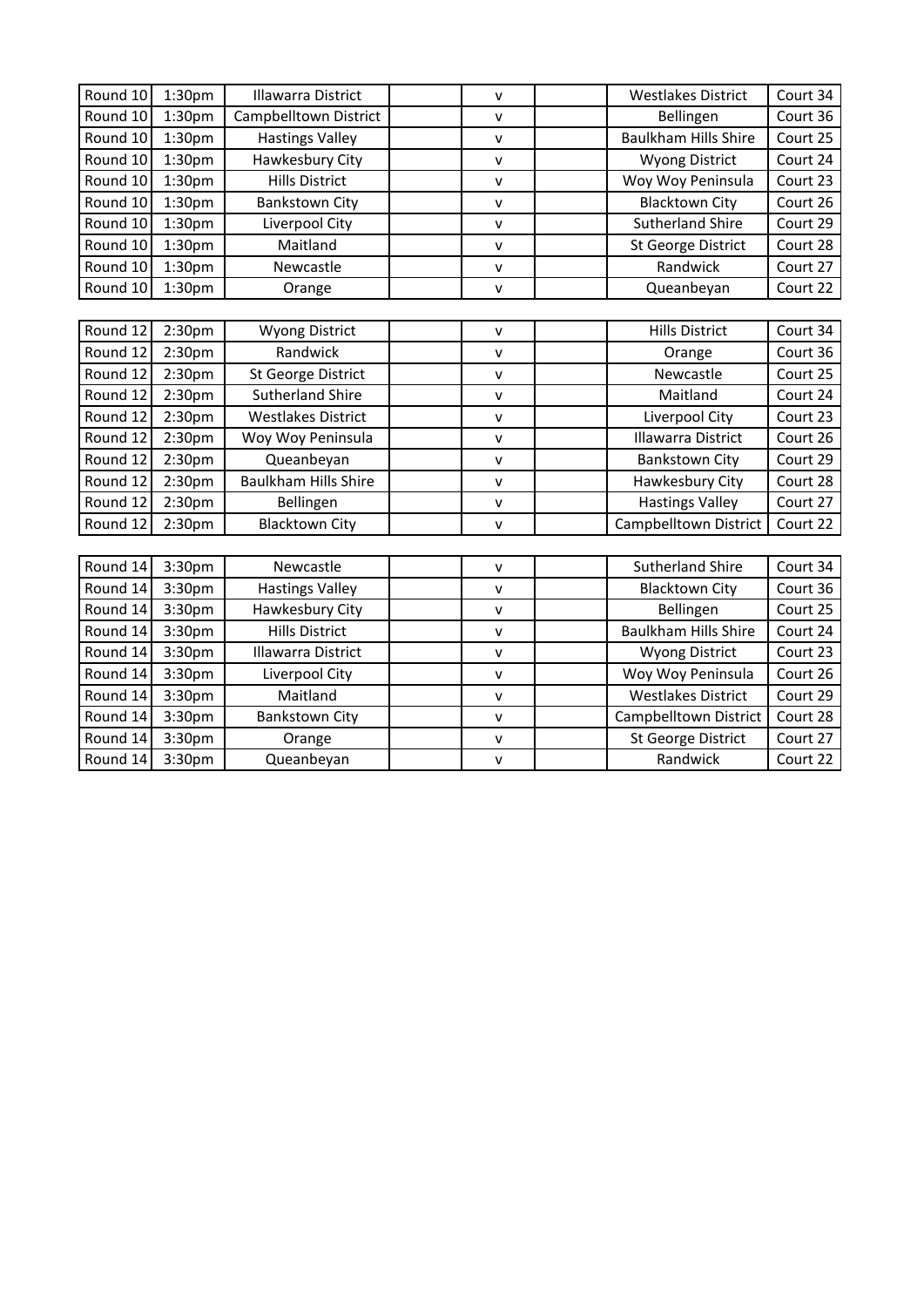| Round 10 | 1:30 <sub>pm</sub> | <b>Illawarra District</b>   | $\mathsf{V}$ | <b>Westlakes District</b>   | Court 34 |
|----------|--------------------|-----------------------------|--------------|-----------------------------|----------|
| Round 10 | 1:30 <sub>pm</sub> | Campbelltown District       | v            | Bellingen                   | Court 36 |
| Round 10 | 1:30 <sub>pm</sub> | <b>Hastings Valley</b>      | V            | <b>Baulkham Hills Shire</b> | Court 25 |
| Round 10 | 1:30 <sub>pm</sub> | Hawkesbury City             | V            | <b>Wyong District</b>       | Court 24 |
| Round 10 | 1:30 <sub>pm</sub> | <b>Hills District</b>       | v            | Woy Woy Peninsula           | Court 23 |
| Round 10 | 1:30 <sub>pm</sub> | <b>Bankstown City</b>       | $\mathsf{V}$ | <b>Blacktown City</b>       | Court 26 |
| Round 10 | 1:30pm             | Liverpool City              | V            | <b>Sutherland Shire</b>     | Court 29 |
| Round 10 | 1:30 <sub>pm</sub> | Maitland                    | $\mathsf{V}$ | <b>St George District</b>   | Court 28 |
| Round 10 | 1:30 <sub>pm</sub> | Newcastle                   | $\mathsf{V}$ | Randwick                    | Court 27 |
| Round 10 | 1:30 <sub>pm</sub> | Orange                      | V            | Queanbeyan                  | Court 22 |
|          |                    |                             |              |                             |          |
| Round 12 | 2:30 <sub>pm</sub> | <b>Wyong District</b>       | V            | <b>Hills District</b>       | Court 34 |
| Round 12 | 2:30pm             | Randwick                    | v            | Orange                      | Court 36 |
| Round 12 | 2:30 <sub>pm</sub> | St George District          | V            | Newcastle                   | Court 25 |
| Round 12 | 2:30pm             | <b>Sutherland Shire</b>     | v            | Maitland                    | Court 24 |
| Round 12 | 2:30pm             | <b>Westlakes District</b>   | V            | Liverpool City              | Court 23 |
| Round 12 | 2:30 <sub>pm</sub> | Woy Woy Peninsula           | $\mathsf{V}$ | <b>Illawarra District</b>   | Court 26 |
| Round 12 | 2:30 <sub>pm</sub> | Queanbeyan                  | v            | <b>Bankstown City</b>       | Court 29 |
| Round 12 | 2:30pm             | <b>Baulkham Hills Shire</b> | v            | Hawkesbury City             | Court 28 |
| Round 12 | 2:30 <sub>pm</sub> | Bellingen                   | v            | <b>Hastings Valley</b>      | Court 27 |
| Round 12 | 2:30pm             | <b>Blacktown City</b>       | V            | Campbelltown District       | Court 22 |
|          |                    |                             |              |                             |          |
| Round 14 | 3:30pm             | Newcastle                   | $\mathsf{V}$ | <b>Sutherland Shire</b>     | Court 34 |
| Round 14 | 3:30pm             | <b>Hastings Valley</b>      | V            | <b>Blacktown City</b>       | Court 36 |
| Round 14 | 3:30pm             | Hawkesbury City             | V            | Bellingen                   | Court 25 |
| Round 14 | 3:30pm             | <b>Hills District</b>       | V            | <b>Baulkham Hills Shire</b> | Court 24 |
| Round 14 | 3:30pm             | <b>Illawarra District</b>   | V            | <b>Wyong District</b>       | Court 23 |
| Round 14 | 3:30pm             | Liverpool City              | $\mathsf{v}$ | Woy Woy Peninsula           | Court 26 |
| Round 14 | 3:30pm             | Maitland                    | v            | <b>Westlakes District</b>   | Court 29 |
| Round 14 | 3:30pm             | <b>Bankstown City</b>       | V            | Campbelltown District       | Court 28 |
| Round 14 | 3:30pm             | Orange                      | V            | <b>St George District</b>   | Court 27 |
| Round 14 | 3:30pm             | Queanbeyan                  | v            | Randwick                    | Court 22 |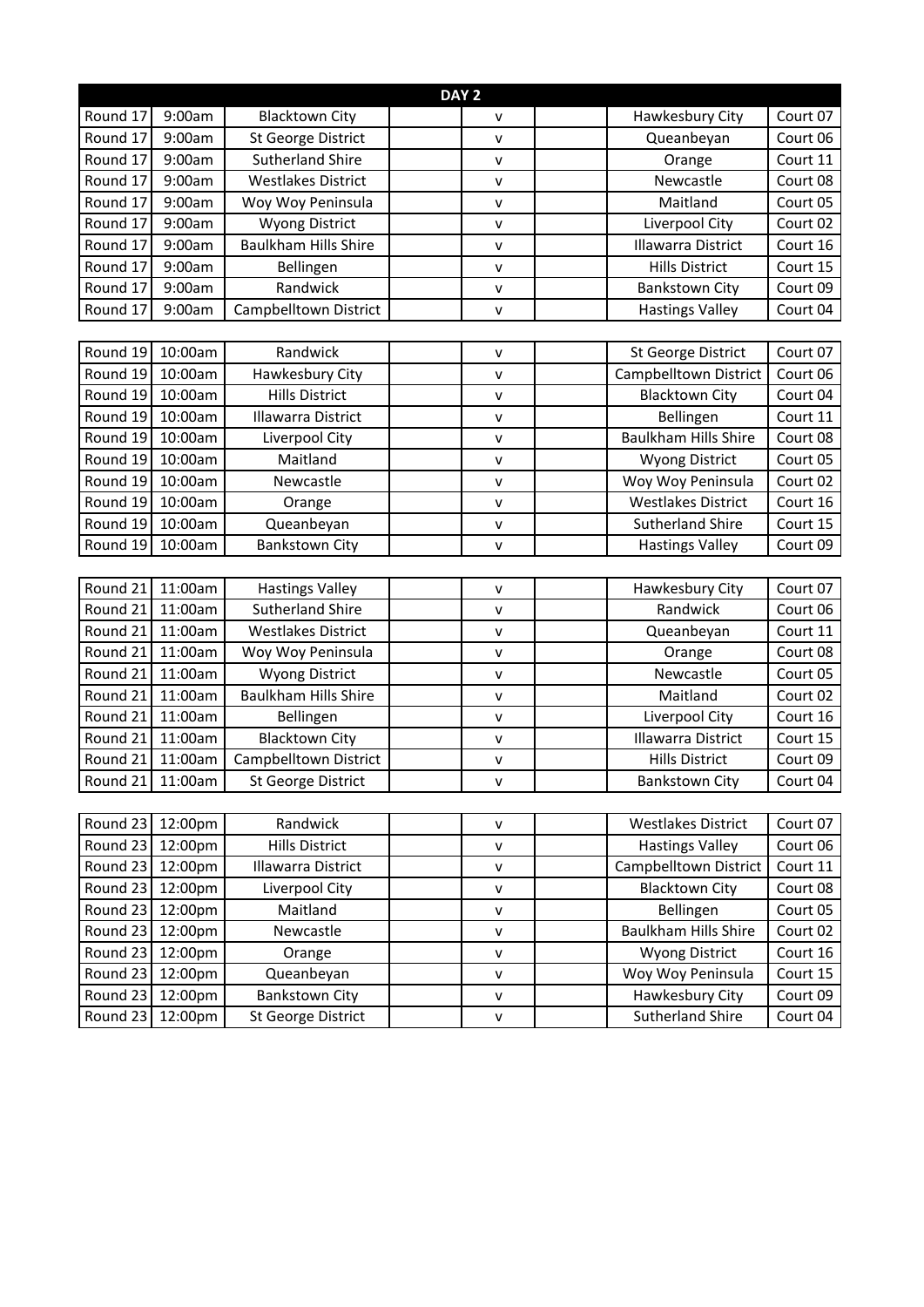| DAY <sub>2</sub> |         |                             |              |  |                             |          |  |
|------------------|---------|-----------------------------|--------------|--|-----------------------------|----------|--|
| Round 17         | 9:00am  | <b>Blacktown City</b>       | ٧            |  | Hawkesbury City             | Court 07 |  |
| Round 17         | 9:00am  | St George District          | $\mathsf{v}$ |  | Queanbeyan                  | Court 06 |  |
| Round 17         | 9:00am  | <b>Sutherland Shire</b>     | $\mathsf{v}$ |  | Orange                      | Court 11 |  |
| Round 17         | 9:00am  | <b>Westlakes District</b>   | v            |  | Newcastle                   | Court 08 |  |
| Round 17         | 9:00am  | Woy Woy Peninsula           | v            |  | Maitland                    | Court 05 |  |
| Round 17         | 9:00am  | <b>Wyong District</b>       | $\mathsf{v}$ |  | Liverpool City              | Court 02 |  |
| Round 17         | 9:00am  | <b>Baulkham Hills Shire</b> | $\mathsf{v}$ |  | Illawarra District          | Court 16 |  |
| Round 17         | 9:00am  | Bellingen                   | V            |  | <b>Hills District</b>       | Court 15 |  |
| Round 17         | 9:00am  | Randwick                    | $\mathsf{v}$ |  | <b>Bankstown City</b>       | Court 09 |  |
| Round 17         | 9:00am  | Campbelltown District       | v            |  | <b>Hastings Valley</b>      | Court 04 |  |
|                  |         |                             |              |  |                             |          |  |
| Round 19         | 10:00am | Randwick                    | $\mathsf{v}$ |  | St George District          | Court 07 |  |
| Round 19         | 10:00am | Hawkesbury City             | $\mathsf{v}$ |  | Campbelltown District       | Court 06 |  |
| Round 19         | 10:00am | <b>Hills District</b>       | v            |  | <b>Blacktown City</b>       | Court 04 |  |
| Round 19         | 10:00am | <b>Illawarra District</b>   | v            |  | Bellingen                   | Court 11 |  |
| Round 19         | 10:00am | Liverpool City              | $\mathsf{v}$ |  | <b>Baulkham Hills Shire</b> | Court 08 |  |
| Round 19         | 10:00am | Maitland                    | $\mathsf{v}$ |  | <b>Wyong District</b>       | Court 05 |  |
| Round 19         | 10:00am | Newcastle                   | V            |  | Woy Woy Peninsula           | Court 02 |  |
| Round 19         | 10:00am | Orange                      | $\mathsf{v}$ |  | <b>Westlakes District</b>   | Court 16 |  |
| Round 19         | 10:00am | Queanbeyan                  | $\mathsf{v}$ |  | <b>Sutherland Shire</b>     | Court 15 |  |
| Round 19         | 10:00am | <b>Bankstown City</b>       | v            |  | <b>Hastings Valley</b>      | Court 09 |  |
|                  |         |                             |              |  |                             |          |  |
| Round 21         | 11:00am | <b>Hastings Valley</b>      | $\mathsf{V}$ |  | Hawkesbury City             | Court 07 |  |
| Round 21         | 11:00am | <b>Sutherland Shire</b>     | v            |  | Randwick                    | Court 06 |  |
| Round 21         | 11:00am | <b>Westlakes District</b>   | v            |  | Queanbeyan                  | Court 11 |  |
| Round 21         | 11:00am | Woy Woy Peninsula           | v            |  | Orange                      | Court 08 |  |
| Round 21         | 11:00am | <b>Wyong District</b>       | $\mathsf{V}$ |  | Newcastle                   | Court 05 |  |
| Round 21         | 11:00am | <b>Baulkham Hills Shire</b> | V            |  | Maitland                    | Court 02 |  |
| Round 21         | 11:00am | Bellingen                   | $\mathsf{v}$ |  | Liverpool City              | Court 16 |  |
| Round 21         | 11:00am | <b>Blacktown City</b>       | $\mathsf{V}$ |  | Illawarra District          | Court 15 |  |
| Round 21         | 11:00am | Campbelltown District       | $\mathsf{v}$ |  | <b>Hills District</b>       | Court 09 |  |
| Round 21         | 11:00am | St George District          | ۷            |  | <b>Bankstown City</b>       | Court 04 |  |
|                  |         |                             |              |  |                             |          |  |
| Round 23         | 12:00pm | Randwick                    | $\mathsf{V}$ |  | <b>Westlakes District</b>   | Court 07 |  |
| Round 23         | 12:00pm | <b>Hills District</b>       | v            |  | <b>Hastings Valley</b>      | Court 06 |  |
| Round 23         | 12:00pm | Illawarra District          | $\mathsf{v}$ |  | Campbelltown District       | Court 11 |  |
| Round 23         | 12:00pm | Liverpool City              | $\mathsf{V}$ |  | <b>Blacktown City</b>       | Court 08 |  |
| Round 23         | 12:00pm | Maitland                    | $\mathsf{V}$ |  | Bellingen                   | Court 05 |  |
| Round 23         | 12:00pm | Newcastle                   | $\mathsf{V}$ |  | <b>Baulkham Hills Shire</b> | Court 02 |  |
| Round 23         | 12:00pm | Orange                      | $\mathsf{V}$ |  | <b>Wyong District</b>       | Court 16 |  |
| Round 23         | 12:00pm | Queanbeyan                  | $\mathsf{v}$ |  | Woy Woy Peninsula           | Court 15 |  |
| Round 23         | 12:00pm | <b>Bankstown City</b>       | v            |  | Hawkesbury City             | Court 09 |  |
| Round 23         | 12:00pm | St George District          | $\mathsf{V}$ |  | <b>Sutherland Shire</b>     | Court 04 |  |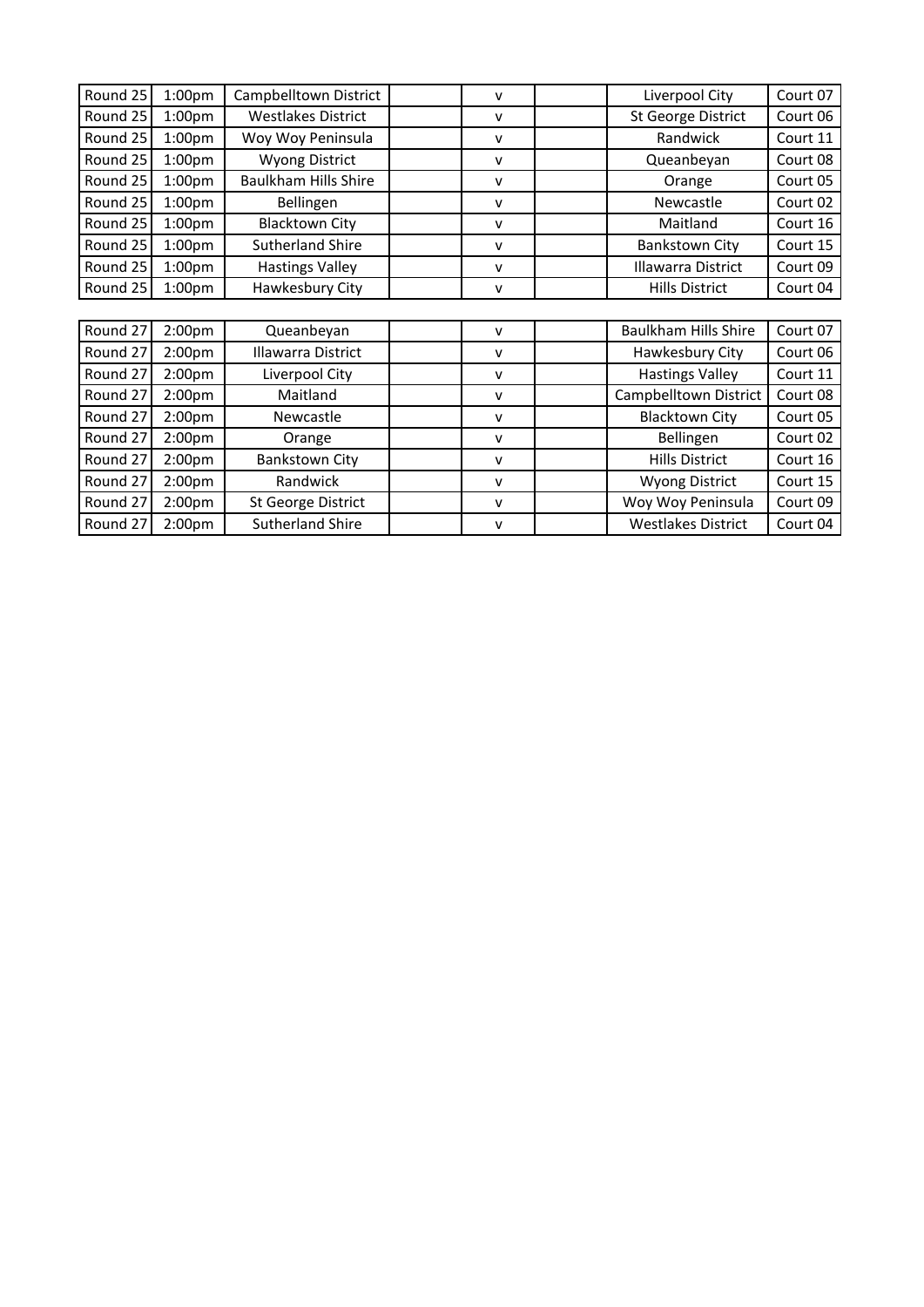| Round 25 | 1:00 <sub>pm</sub> | Campbelltown District       | v            | Liverpool City              | Court 07 |
|----------|--------------------|-----------------------------|--------------|-----------------------------|----------|
| Round 25 | 1:00 <sub>pm</sub> | <b>Westlakes District</b>   | $\mathsf{v}$ | <b>St George District</b>   | Court 06 |
| Round 25 | 1:00 <sub>pm</sub> | Woy Woy Peninsula           | ۷            | Randwick                    | Court 11 |
| Round 25 | 1:00 <sub>pm</sub> | <b>Wyong District</b>       | v            | Queanbeyan                  | Court 08 |
| Round 25 | 1:00 <sub>pm</sub> | <b>Baulkham Hills Shire</b> | v            | Orange                      | Court 05 |
| Round 25 | 1:00 <sub>pm</sub> | Bellingen                   | v            | Newcastle                   | Court 02 |
| Round 25 | 1:00 <sub>pm</sub> | <b>Blacktown City</b>       | v            | Maitland                    | Court 16 |
| Round 25 | 1:00 <sub>pm</sub> | <b>Sutherland Shire</b>     | v            | <b>Bankstown City</b>       | Court 15 |
| Round 25 | 1:00 <sub>pm</sub> | <b>Hastings Valley</b>      | v            | <b>Illawarra District</b>   | Court 09 |
| Round 25 | 1:00 <sub>pm</sub> | Hawkesbury City             | ۷            | <b>Hills District</b>       | Court 04 |
|          |                    |                             |              |                             |          |
| Round 27 | 2:00pm             | Queanbeyan                  | v            | <b>Baulkham Hills Shire</b> | Court 07 |
| Round 27 | 2:00 <sub>pm</sub> | Illawarra District          | v            | Hawkesbury City             | Court 06 |
| Round 27 | 2:00 <sub>pm</sub> | Liverpool City              | v            | <b>Hastings Valley</b>      | Court 11 |
| Round 27 | 2:00 <sub>pm</sub> | Maitland                    | v            | Campbelltown District       | Court 08 |
| Round 27 | 2:00 <sub>pm</sub> | Newcastle                   | v            | <b>Blacktown City</b>       | Court 05 |
| Round 27 | 2:00 <sub>pm</sub> | Orange                      | v            | Bellingen                   | Court 02 |
| Round 27 | 2:00 <sub>pm</sub> | <b>Bankstown City</b>       | v            | <b>Hills District</b>       | Court 16 |
| Round 27 | 2:00pm             | Randwick                    | v            | <b>Wyong District</b>       | Court 15 |
| Round 27 | 2:00 <sub>pm</sub> | St George District          | v            | Woy Woy Peninsula           | Court 09 |
| Round 27 | 2:00pm             | <b>Sutherland Shire</b>     | ۷            | <b>Westlakes District</b>   | Court 04 |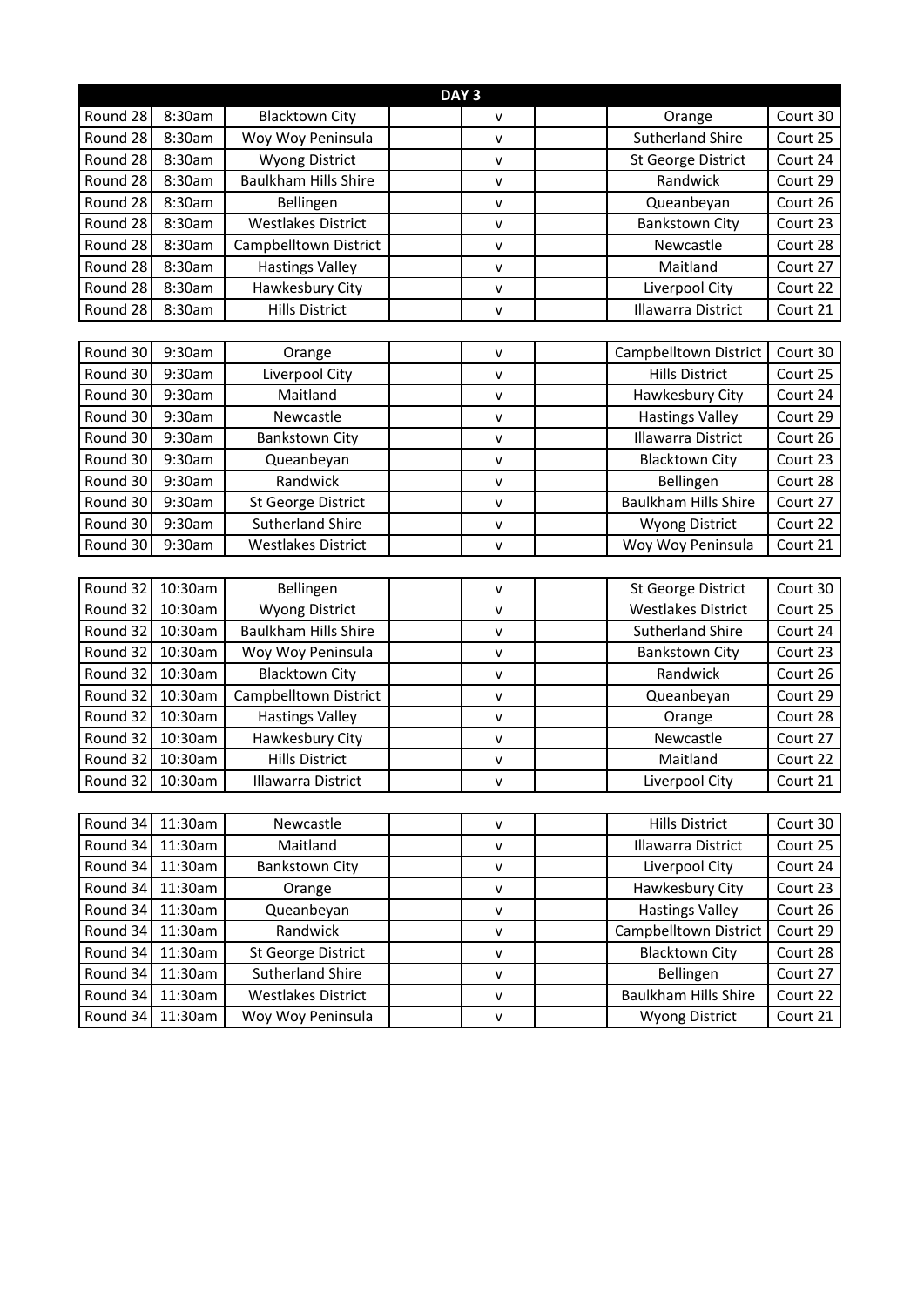| DAY <sub>3</sub> |         |                             |              |                             |          |  |  |
|------------------|---------|-----------------------------|--------------|-----------------------------|----------|--|--|
| Round 28         | 8:30am  | <b>Blacktown City</b>       | v            | Orange                      | Court 30 |  |  |
| Round 28         | 8:30am  | Woy Woy Peninsula           | V            | <b>Sutherland Shire</b>     | Court 25 |  |  |
| Round 28         | 8:30am  | <b>Wyong District</b>       | $\mathsf{v}$ | St George District          | Court 24 |  |  |
| Round 28         | 8:30am  | <b>Baulkham Hills Shire</b> | $\mathsf{v}$ | Randwick                    | Court 29 |  |  |
| Round 28         | 8:30am  | Bellingen                   | V            | Queanbeyan                  | Court 26 |  |  |
| Round 28         | 8:30am  | <b>Westlakes District</b>   | v            | <b>Bankstown City</b>       | Court 23 |  |  |
| Round 28         | 8:30am  | Campbelltown District       | $\mathsf{v}$ | Newcastle                   | Court 28 |  |  |
| Round 28         | 8:30am  | <b>Hastings Valley</b>      | $\mathsf{v}$ | Maitland                    | Court 27 |  |  |
| Round 28         | 8:30am  | Hawkesbury City             | v            | Liverpool City              | Court 22 |  |  |
| Round 28         | 8:30am  | <b>Hills District</b>       | $\mathsf{v}$ | Illawarra District          | Court 21 |  |  |
|                  |         |                             |              |                             |          |  |  |
| Round 30         | 9:30am  | Orange                      | V            | Campbelltown District       | Court 30 |  |  |
| Round 30         | 9:30am  | Liverpool City              | ۷            | <b>Hills District</b>       | Court 25 |  |  |
| Round 30         | 9:30am  | Maitland                    | $\mathsf{v}$ | Hawkesbury City             | Court 24 |  |  |
| Round 30         | 9:30am  | Newcastle                   | v            | <b>Hastings Valley</b>      | Court 29 |  |  |
| Round 30         | 9:30am  | <b>Bankstown City</b>       | $\mathsf{v}$ | <b>Illawarra District</b>   | Court 26 |  |  |
| Round 30         | 9:30am  | Queanbeyan                  | $\mathsf{v}$ | <b>Blacktown City</b>       | Court 23 |  |  |
| Round 30         | 9:30am  | Randwick                    | v            | Bellingen                   | Court 28 |  |  |
| Round 30         | 9:30am  | St George District          | v            | <b>Baulkham Hills Shire</b> | Court 27 |  |  |
| Round 30         | 9:30am  | <b>Sutherland Shire</b>     | V            | <b>Wyong District</b>       | Court 22 |  |  |
| Round 30         | 9:30am  | <b>Westlakes District</b>   | $\mathsf{v}$ | Woy Woy Peninsula           | Court 21 |  |  |
|                  |         |                             |              |                             |          |  |  |
| Round 32         | 10:30am | Bellingen                   | $\sf V$      | St George District          | Court 30 |  |  |
| Round 32         | 10:30am | Wyong District              | $\mathsf{v}$ | <b>Westlakes District</b>   | Court 25 |  |  |
| Round 32         | 10:30am | <b>Baulkham Hills Shire</b> | $\mathsf{v}$ | <b>Sutherland Shire</b>     | Court 24 |  |  |
| Round 32         | 10:30am | Woy Woy Peninsula           | v            | <b>Bankstown City</b>       | Court 23 |  |  |
| Round 32         | 10:30am | <b>Blacktown City</b>       | $\mathsf{v}$ | Randwick                    | Court 26 |  |  |
| Round 32         | 10:30am | Campbelltown District       | v            | Queanbeyan                  | Court 29 |  |  |
| Round 32         | 10:30am | <b>Hastings Valley</b>      | $\mathsf{v}$ | Orange                      | Court 28 |  |  |
| Round 32         | 10:30am | Hawkesbury City             | $\mathsf{v}$ | Newcastle                   | Court 27 |  |  |
| Round 32 10:30am |         | <b>Hills District</b>       | $\mathsf{v}$ | Maitland                    | Court 22 |  |  |
| Round 32 10:30am |         | Illawarra District          | v            | Liverpool City              | Court 21 |  |  |
|                  |         |                             |              |                             |          |  |  |
| Round 34         | 11:30am | Newcastle                   | v            | <b>Hills District</b>       | Court 30 |  |  |
| Round 34         | 11:30am | Maitland                    | V            | Illawarra District          | Court 25 |  |  |
| Round 34         | 11:30am | <b>Bankstown City</b>       | $\mathsf{v}$ | Liverpool City              | Court 24 |  |  |
| Round 34         | 11:30am | Orange                      | $\mathsf{V}$ | Hawkesbury City             | Court 23 |  |  |
| Round 34         | 11:30am | Queanbeyan                  | Λ            | <b>Hastings Valley</b>      | Court 26 |  |  |
| Round 34         | 11:30am | Randwick                    | v            | Campbelltown District       | Court 29 |  |  |
| Round 34         | 11:30am | St George District          | $\mathsf{V}$ | <b>Blacktown City</b>       | Court 28 |  |  |
| Round 34         | 11:30am | <b>Sutherland Shire</b>     | $\mathsf{v}$ | Bellingen                   | Court 27 |  |  |
| Round 34         | 11:30am | <b>Westlakes District</b>   | $\mathsf{v}$ | <b>Baulkham Hills Shire</b> | Court 22 |  |  |
| Round 34         | 11:30am | Woy Woy Peninsula           | v            | <b>Wyong District</b>       | Court 21 |  |  |